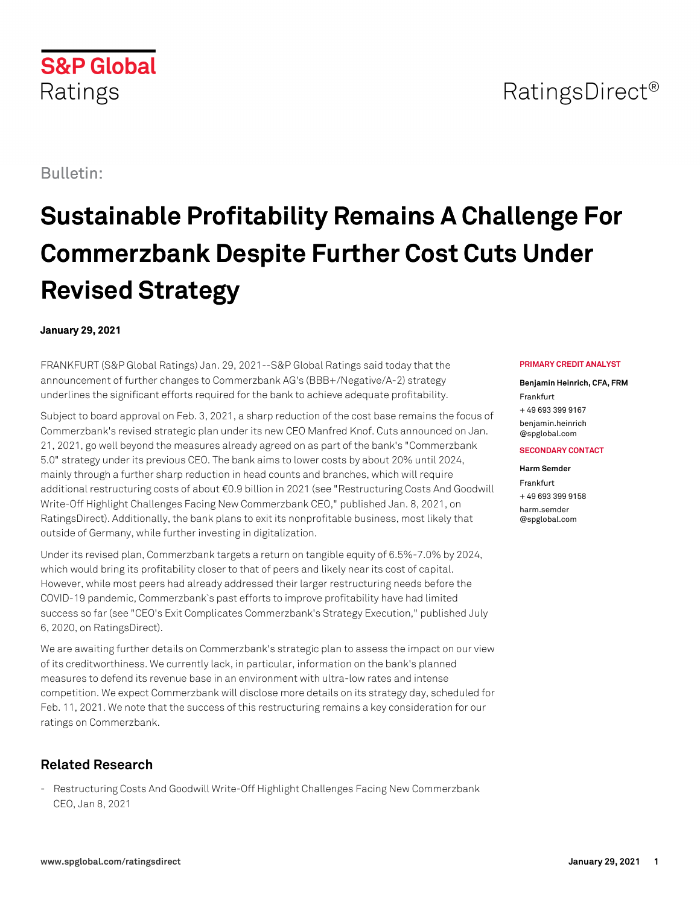## **S&P Global** Ratings

# **Sustainable Profitability Remains A Challenge For Commerzbank Despite Further Cost Cuts Under Revised Strategy**

## **January 29, 2021**

FRANKFURT (S&P Global Ratings) Jan. 29, 2021--S&P Global Ratings said today that the announcement of further changes to Commerzbank AG's (BBB+/Negative/A-2) strategy underlines the significant efforts required for the bank to achieve adequate profitability.

Subject to board approval on Feb. 3, 2021, a sharp reduction of the cost base remains the focus of Commerzbank's revised strategic plan under its new CEO Manfred Knof. Cuts announced on Jan. 21, 2021, go well beyond the measures already agreed on as part of the bank's "Commerzbank 5.0" strategy under its previous CEO. The bank aims to lower costs by about 20% until 2024, mainly through a further sharp reduction in head counts and branches, which will require additional restructuring costs of about €0.9 billion in 2021 (see "Restructuring Costs And Goodwill Write-Off Highlight Challenges Facing New Commerzbank CEO," published Jan. 8, 2021, on RatingsDirect). Additionally, the bank plans to exit its nonprofitable business, most likely that outside of Germany, while further investing in digitalization.

Under its revised plan, Commerzbank targets a return on tangible equity of 6.5%-7.0% by 2024, which would bring its profitability closer to that of peers and likely near its cost of capital. However, while most peers had already addressed their larger restructuring needs before the COVID-19 pandemic, Commerzbank`s past efforts to improve profitability have had limited success so far (see "CEO's Exit Complicates Commerzbank's Strategy Execution," published July 6, 2020, on RatingsDirect).

We are awaiting further details on Commerzbank's strategic plan to assess the impact on our view of its creditworthiness. We currently lack, in particular, information on the bank's planned measures to defend its revenue base in an environment with ultra-low rates and intense competition. We expect Commerzbank will disclose more details on its strategy day, scheduled for Feb. 11, 2021. We note that the success of this restructuring remains a key consideration for our ratings on Commerzbank.

## **Related Research**

- Restructuring Costs And Goodwill Write-Off Highlight Challenges Facing New Commerzbank CEO, Jan 8, 2021

### **PRIMARY CREDIT ANALYST**

**Benjamin Heinrich, CFA, FRM** Frankfurt

+ 49 693 399 9167 [benjamin.heinrich](mailto: benjamin.heinrich@spglobal.com) [@spglobal.com](mailto: benjamin.heinrich@spglobal.com)

#### **SECONDARY CONTACT**

#### **Harm Semder**

Frankfurt + 49 693 399 9158 [harm.semder](mailto: harm.semder@spglobal.com) [@spglobal.com](mailto: harm.semder@spglobal.com)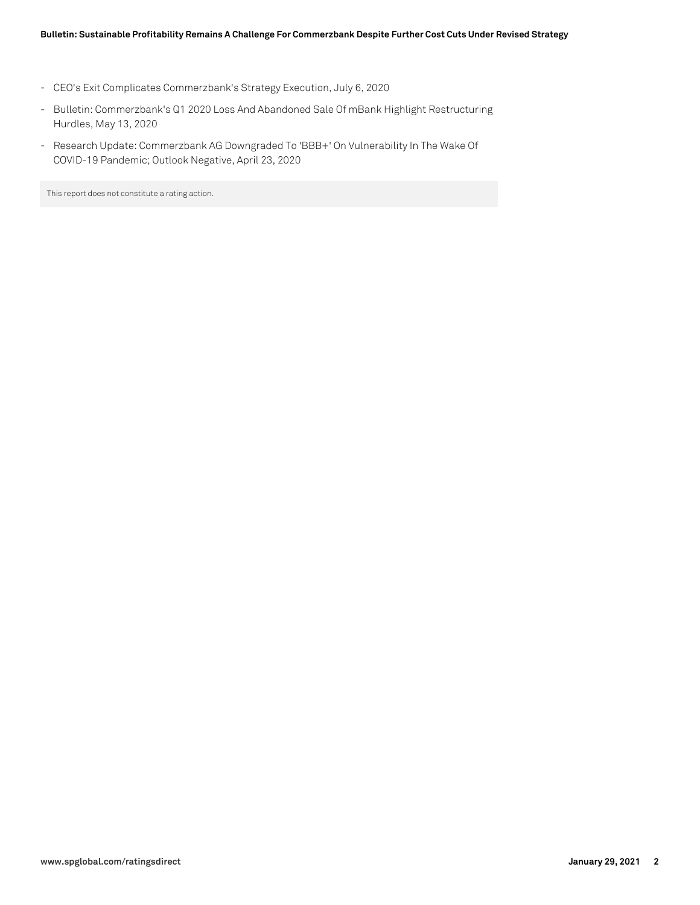- CEO's Exit Complicates Commerzbank's Strategy Execution, July 6, 2020
- Bulletin: Commerzbank's Q1 2020 Loss And Abandoned Sale Of mBank Highlight Restructuring Hurdles, May 13, 2020
- Research Update: Commerzbank AG Downgraded To 'BBB+' On Vulnerability In The Wake Of COVID-19 Pandemic; Outlook Negative, April 23, 2020

This report does not constitute a rating action.